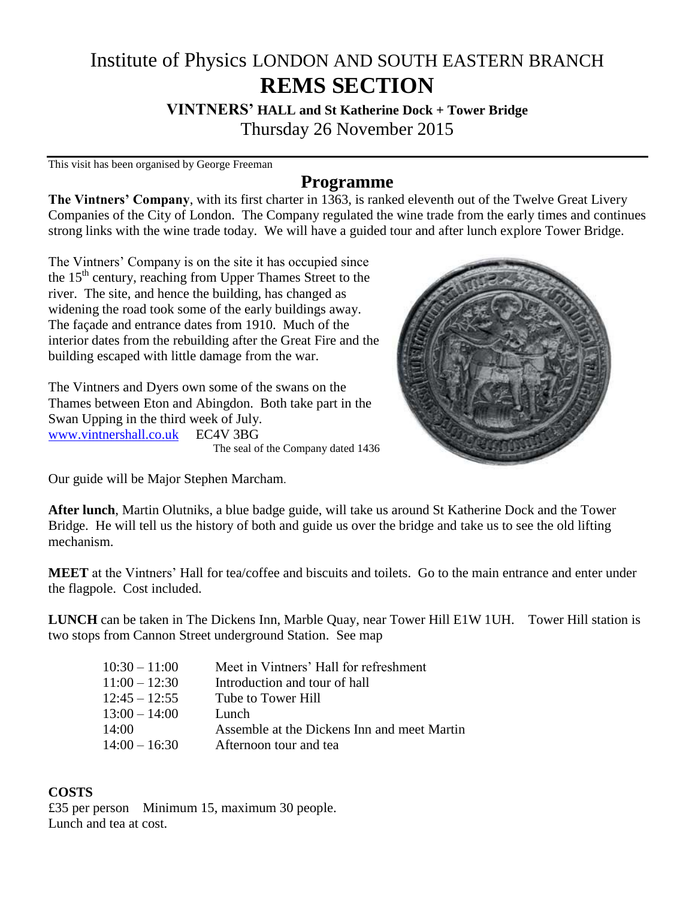## Institute of Physics LONDON AND SOUTH EASTERN BRANCH **REMS SECTION**

**VINTNERS' HALL and St Katherine Dock + Tower Bridge** Thursday 26 November 2015

This visit has been organised by George Freeman

## **Programme**

**The Vintners' Company**, with its first charter in 1363, is ranked eleventh out of the Twelve Great Livery Companies of the City of London. The Company regulated the wine trade from the early times and continues strong links with the wine trade today. We will have a guided tour and after lunch explore Tower Bridge.

The Vintners' Company is on the site it has occupied since the 15<sup>th</sup> century, reaching from Upper Thames Street to the river. The site, and hence the building, has changed as widening the road took some of the early buildings away. The façade and entrance dates from 1910. Much of the interior dates from the rebuilding after the Great Fire and the building escaped with little damage from the war.

The Vintners and Dyers own some of the swans on the Thames between Eton and Abingdon. Both take part in the Swan Upping in the third week of July. [www.vintnershall.co.uk](http://www.vintnershall.co.uk/) EC4V 3BG The seal of the Company dated 1436



Our guide will be Major Stephen Marcham.

**After lunch**, Martin Olutniks, a blue badge guide, will take us around St Katherine Dock and the Tower Bridge. He will tell us the history of both and guide us over the bridge and take us to see the old lifting mechanism.

**MEET** at the Vintners' Hall for tea/coffee and biscuits and toilets. Go to the main entrance and enter under the flagpole. Cost included.

**LUNCH** can be taken in The Dickens Inn, Marble Quay, near Tower Hill E1W 1UH. Tower Hill station is two stops from Cannon Street underground Station. See map

| $10:30 - 11:00$ | Meet in Vintners' Hall for refreshment      |
|-----------------|---------------------------------------------|
| $11:00 - 12:30$ | Introduction and tour of hall               |
| $12:45 - 12:55$ | Tube to Tower Hill                          |
| $13:00 - 14:00$ | Lunch.                                      |
| 14:00           | Assemble at the Dickens Inn and meet Martin |
| $14:00 - 16:30$ | Afternoon tour and tea                      |

## **COSTS**

£35 per person Minimum 15, maximum 30 people. Lunch and tea at cost.